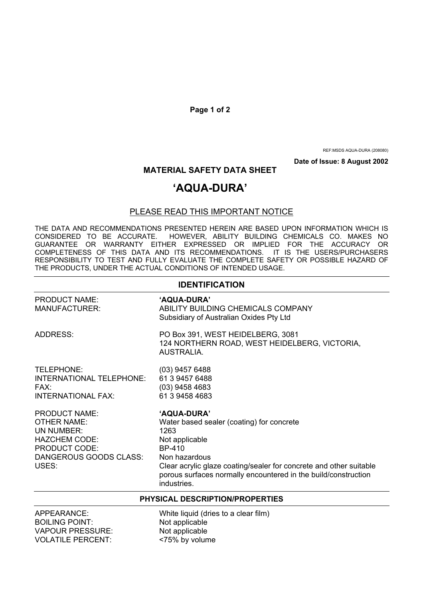**Page 1 of 2** 

REF:MSDS AQUA-DURA (208080)

**Date of Issue: 8 August 2002** 

## **MATERIAL SAFETY DATA SHEET**

## **'AQUA-DURA'**

## PLEASE READ THIS IMPORTANT NOTICE

THE DATA AND RECOMMENDATIONS PRESENTED HEREIN ARE BASED UPON INFORMATION WHICH IS CONSIDERED TO BE ACCURATE. HOWEVER, ABILITY BUILDING CHEMICALS CO. MAKES NO GUARANTEE OR WARRANTY EITHER EXPRESSED OR IMPLIED FOR THE ACCURACY OR COMPLETENESS OF THIS DATA AND ITS RECOMMENDATIONS. IT IS THE USERS/PURCHASERS RESPONSIBILITY TO TEST AND FULLY EVALUATE THE COMPLETE SAFETY OR POSSIBLE HAZARD OF THE PRODUCTS, UNDER THE ACTUAL CONDITIONS OF INTENDED USAGE.

| <b>IDENTIFICATION</b>                                                                                                                |                                                                                                                                                                                                                                                                      |  |
|--------------------------------------------------------------------------------------------------------------------------------------|----------------------------------------------------------------------------------------------------------------------------------------------------------------------------------------------------------------------------------------------------------------------|--|
| <b>PRODUCT NAME:</b><br>MANUFACTURER:                                                                                                | 'AQUA-DURA'<br>ABILITY BUILDING CHEMICALS COMPANY<br>Subsidiary of Australian Oxides Pty Ltd                                                                                                                                                                         |  |
| <b>ADDRESS:</b>                                                                                                                      | PO Box 391, WEST HEIDELBERG, 3081<br>124 NORTHERN ROAD, WEST HEIDELBERG, VICTORIA,<br>AUSTRALIA                                                                                                                                                                      |  |
| TELEPHONE:<br>INTERNATIONAL TELEPHONE:<br>$FAX^+$<br><b>INTERNATIONAL FAX:</b>                                                       | (03) 9457 6488<br>61 3 9457 6488<br>$(03)$ 9458 4683<br>61 3 9458 4683                                                                                                                                                                                               |  |
| <b>PRODUCT NAME:</b><br>OTHER NAME:<br>UN NUMBER:<br><b>HAZCHEM CODE:</b><br><b>PRODUCT CODE:</b><br>DANGEROUS GOODS CLASS:<br>USES: | 'AQUA-DURA'<br>Water based sealer (coating) for concrete<br>1263<br>Not applicable<br>BP-410<br>Non hazardous<br>Clear acrylic glaze coating/sealer for concrete and other suitable<br>porous surfaces normally encountered in the build/construction<br>industries. |  |
| <b>PHYSICAL DESCRIPTION/PROPERTIES</b>                                                                                               |                                                                                                                                                                                                                                                                      |  |

BOILING POINT: Not applicable VAPOUR PRESSURE: Not applicable VOLATILE PERCENT: <75% by volume

APPEARANCE: White liquid (dries to a clear film)